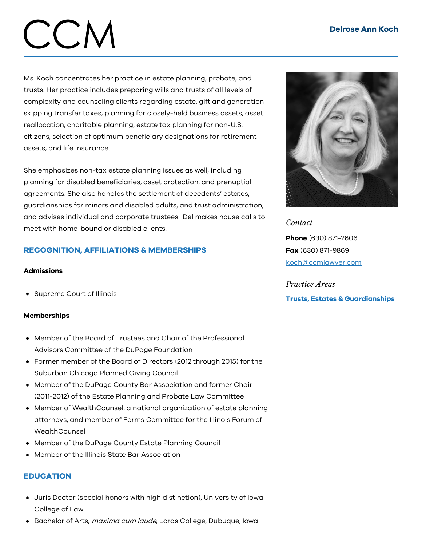# $CCN$

Ms. Koch concentrates her practice in estate planning, probate, and trusts. Her practice includes preparing wills and trusts of all levels of complexity and counseling clients regarding estate, gift and generationskipping transfer taxes, planning for closely-held business assets, asset reallocation, charitable planning, estate tax planning for non-U.S. citizens, selection of optimum beneficiary designations for retirement assets, and life insurance.

She emphasizes non-tax estate planning issues as well, including planning for disabled beneficiaries, asset protection, and prenuptial agreements. She also handles the settlement of decedents' estates, guardianships for minors and disabled adults, and trust administration, and advises individual and corporate trustees. Del makes house calls to meet with home-bound or disabled clients.

# RECOGNITION, AFFILIATIONS & MEMBERSHIPS

# **Admissions**

• Supreme Court of Illinois

# Memberships

- Member of the Board of Trustees and Chair of the Professional Advisors Committee of the DuPage Foundation
- Former member of the Board of Directors (2012 through 2015) for the Suburban Chicago Planned Giving Council
- Member of the DuPage County Bar Association and former Chair (2011-2012) of the Estate Planning and Probate Law Committee
- Member of WealthCounsel, a national organization of estate planning attorneys, and member of Forms Committee for the Illinois Forum of **WealthCounsel**
- Member of the DuPage County Estate Planning Council
- Member of the Illinois State Bar Association

# **EDUCATION**

- Juris Doctor (special honors with high distinction), University of Iowa College of Law
- Bachelor of Arts, *maxima cum laude*, Loras College, Dubuque, Iowa



*Contact* Phone (630) 871-2606 Fax (630) 871-9869 [koch@ccmlawyer.com](mailto:koch@ccmlawyer.com)

*Practice Areas* Trusts, Estates & [Guardianships](https://www.ccmlawyer.com/practice-areas/trusts-estates-guardianships/)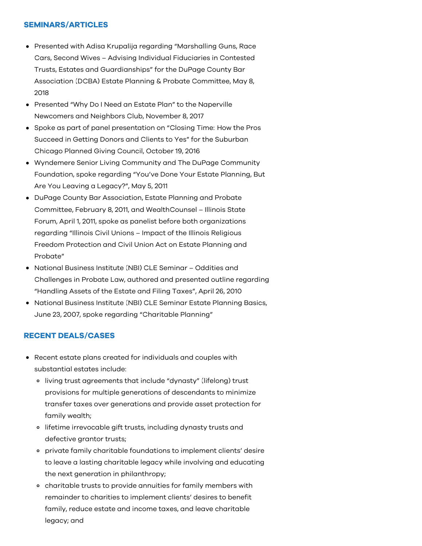# SEMINARS/ARTICLES

- Presented with Adisa Krupalija regarding "Marshalling Guns, Race Cars, Second Wives – Advising Individual Fiduciaries in Contested Trusts, Estates and Guardianships" for the DuPage County Bar Association (DCBA) Estate Planning & Probate Committee, May 8, 2018
- Presented "Why Do I Need an Estate Plan" to the Naperville Newcomers and Neighbors Club, November 8, 2017
- Spoke as part of panel presentation on "Closing Time: How the Pros Succeed in Getting Donors and Clients to Yes" for the Suburban Chicago Planned Giving Council, October 19, 2016
- Wyndemere Senior Living Community and The DuPage Community Foundation, spoke regarding "You've Done Your Estate Planning, But Are You Leaving a Legacy?", May 5, 2011
- DuPage County Bar Association, Estate Planning and Probate Committee, February 8, 2011, and WealthCounsel – Illinois State Forum, April 1, 2011, spoke as panelist before both organizations regarding "Illinois Civil Unions – Impact of the Illinois Religious Freedom Protection and Civil Union Act on Estate Planning and Probate"
- National Business Institute (NBI) CLE Seminar Oddities and Challenges in Probate Law, authored and presented outline regarding "Handling Assets of the Estate and Filing Taxes", April 26, 2010
- National Business Institute (NBI) CLE Seminar Estate Planning Basics, June 23, 2007, spoke regarding "Charitable Planning"

# RECENT DEALS/CASES

- Recent estate plans created for individuals and couples with substantial estates include:
	- living trust agreements that include "dynasty" (lifelong) trust provisions for multiple generations of descendants to minimize transfer taxes over generations and provide asset protection for family wealth;
	- o lifetime irrevocable gift trusts, including dynasty trusts and defective grantor trusts;
	- private family charitable foundations to implement clients' desire to leave a lasting charitable legacy while involving and educating the next generation in philanthropy;
	- charitable trusts to provide annuities for family members with remainder to charities to implement clients' desires to benefit family, reduce estate and income taxes, and leave charitable legacy; and